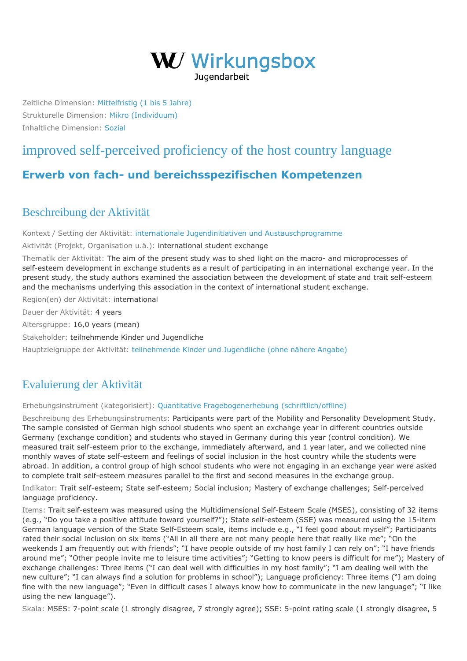

Zeitliche Dimension: [Mittelfristig \(1 bis 5 Jahre\)](https://wirkungsbox.at/jart/prj3/wirkungsbox/main.jart?rel=de&content-id=1543322834577&p_zeitlichedimension_id=1551812792600) Strukturelle Dimension: [Mikro \(Individuum\)](https://wirkungsbox.at/jart/prj3/wirkungsbox/main.jart?rel=de&content-id=1543322834577&p_strukturelledimension_id=1551812792644) Inhaltliche Dimension: [Sozial](https://wirkungsbox.at/jart/prj3/wirkungsbox/main.jart?rel=de&content-id=1543322834577&p_inhaltlichedimension_id=1551812792546)

# [improved self-perceived proficiency of the host country language](https://wirkungsbox.at/jart/prj3/wirkungsbox/main.jart?rel=de&content-id=1543322835804&wirkung_id=1543323661560)

# **[Erwerb von fach- und bereichsspezifischen Kompetenzen](https://wirkungsbox.at/jart/prj3/wirkungsbox/main.jart?rel=de&content-id=1543322834577&p_hauptwirkung_id=1543323664182)**

### Beschreibung der Aktivität

Kontext / Setting der Aktivität: [internationale Jugendinitiativen und Austauschprogramme](https://wirkungsbox.at/jart/prj3/wirkungsbox/main.jart?rel=de&content-id=1543322834577&p_setting_id=1543323664302)

Aktivität (Projekt, Organisation u.ä.): international student exchange

Thematik der Aktivität: The aim of the present study was to shed light on the macro- and microprocesses of self-esteem development in exchange students as a result of participating in an international exchange year. In the present study, the study authors examined the association between the development of state and trait self-esteem and the mechanisms underlying this association in the context of international student exchange.

Region(en) der Aktivität: international

Dauer der Aktivität: 4 years

Altersgruppe: 16,0 years (mean)

Stakeholder: teilnehmende Kinder und Jugendliche

Hauptzielgruppe der Aktivität: [teilnehmende Kinder und Jugendliche \(ohne nähere Angabe\)](https://wirkungsbox.at/jart/prj3/wirkungsbox/main.jart?rel=de&content-id=1543322834577&p_zielgruppe_id=1543323664428)

## Evaluierung der Aktivität

#### Erhebungsinstrument (kategorisiert): [Quantitative Fragebogenerhebung \(schriftlich/offline\)](https://wirkungsbox.at/jart/prj3/wirkungsbox/main.jart?rel=de&content-id=1543322834577&p_erhebungsinstrument_id=1551812792254)

Beschreibung des Erhebungsinstruments: Participants were part of the Mobility and Personality Development Study. The sample consisted of German high school students who spent an exchange year in different countries outside Germany (exchange condition) and students who stayed in Germany during this year (control condition). We measured trait self-esteem prior to the exchange, immediately afterward, and 1 year later, and we collected nine monthly waves of state self-esteem and feelings of social inclusion in the host country while the students were abroad. In addition, a control group of high school students who were not engaging in an exchange year were asked to complete trait self-esteem measures parallel to the first and second measures in the exchange group.

Indikator: Trait self-esteem; State self-esteem; Social inclusion; Mastery of exchange challenges; Self-perceived language proficiency.

Items: Trait self-esteem was measured using the Multidimensional Self-Esteem Scale (MSES), consisting of 32 items (e.g., "Do you take a positive attitude toward yourself?"); State self-esteem (SSE) was measured using the 15-item German language version of the State Self-Esteem scale, items include e.g., "I feel good about myself"; Participants rated their social inclusion on six items ("All in all there are not many people here that really like me"; "On the weekends I am frequently out with friends"; "I have people outside of my host family I can rely on"; "I have friends around me"; "Other people invite me to leisure time activities"; "Getting to know peers is difficult for me"); Mastery of exchange challenges: Three items ("I can deal well with difficulties in my host family"; "I am dealing well with the new culture"; "I can always find a solution for problems in school"); Language proficiency: Three items ("I am doing fine with the new language"; "Even in difficult cases I always know how to communicate in the new language"; "I like using the new language").

Skala: MSES: 7-point scale (1 strongly disagree, 7 strongly agree); SSE: 5-point rating scale (1 strongly disagree, 5